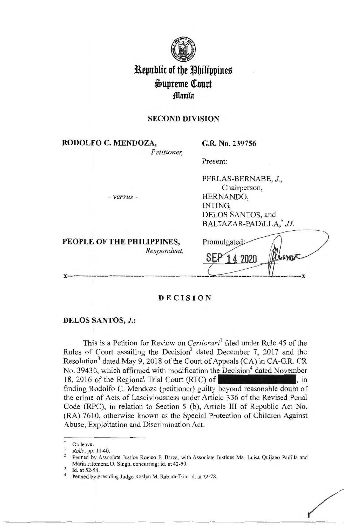

# **Republic of the Philippines i>upreme (ourt fflanila**

# **SECOND DIVISION**

**RODOLFO C. MENDOZA,** 

*Petitioner,* 

**G.R. No. 239756** 

HERNANDO,

INTING,

PERLAS-BERNABE, *J ,*  Chairperson,

DELOS SANTOS, and

BALTAZAR-PADILLA,\* JJ.

Present:

- *versus* -

| PEOPLE OF THE PHILIPPINES,<br>Respondent. | Promulgated: |  |
|-------------------------------------------|--------------|--|
|                                           |              |  |

 $\bigg($ 

# **DECISION**

### **DELOS SANTOS,** *J.:*

This is a Petition for Review on *Certiorari* filed under Rule 45 of the Rules of Court assailing the Decision<sup>2</sup> dated December 7, 2017 and the Resolution<sup>3</sup> dated May 9, 2018 of the Court of Appeals (CA) in CA-G.R. CR No. 39430, which affirmed with modification the Decision<sup>4</sup> dated November 18, 2016 of the Regional Trial Court (RTC) of  $\blacksquare$ , in finding Rodolfo C. Mendoza (petitioner) guilty beyond reasonable doubt of the crime of Acts of Lasciviousness under Article 336 of the Revised Penal Code (RPC), in relation to Section 5 (b), Article III of Republic Act No. (RA) 7610, otherwise known as the Special Protection of Children Against Abuse, Exploitation and Discrimination Act.

On leave.

*Rollo*, pp. 11-40.<br>Penned by Associate Justice Romeo F. Barza, with Associate Justices Ma. Luisa Quijano Padilla and Maria Filomena D. Singh, concurring; id. at 42-50.<br>Id. at 52-54. <br>Penned by Presiding Judge Roslyn M. Rabara-Tria; id. at 72-78.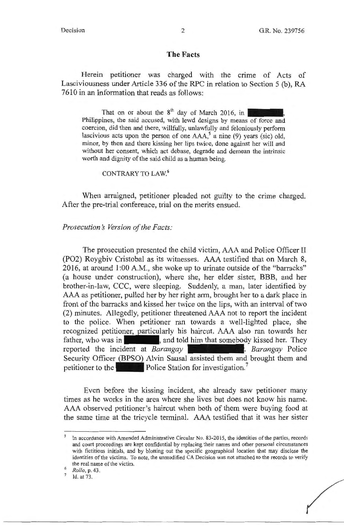### **The Facts**

Herein petitioner was charged with the crime of Acts of Lasciviousness under Article 336 of the RPC in relation to Section 5 (b), RA 7610 in an Information that reads as follows:

That on or about the  $8<sup>th</sup>$  day of March 2016, in Philippines, the said accused, with lewd designs by means of force and coercion, did then and there, willfully, unlawfully and feloniously perform lascivious acts upon the person of one  $AAA$ , a nine (9) years (sic) old, minor, by then and there kissing her lips twice, done against her will and without her consent, which act debase, degrade and demean the intrinsic worth and dignity of the said child as a human being.

CONTRARY TO LAW. 6

When arraigned, petitioner pleaded not guilty to the crime charged. After the pre-trial conference, trial on the merits ensued.

### *Prosecution's Version of the Facts:*

The prosecution presented the child victim, AAA and Police Officer II (PO2) Roygbiv Cristobal as its witnesses. AAA testified that on March 8, 2016, at around 1 :00 A.M., she woke up to urinate outside of the "barracks" (a house under construction), where she, her elder sister, BBB, and her brother-in-law, CCC, were sleeping. Suddenly, a man, later identified by AAA as petitioner, pulled her by her right arm, brought her to a dark place in front of the barracks and kissed her twice on the lips, with an interval of two (2) minutes. Allegedly, petitioner threatened AAA not to report the incident to the police. When petitioner ran towards a well-lighted place, she recognized petitioner, particularly his haircut. AAA also ran towards her father, who was in-<sub>1</sub>, and told him that somebody kissed her. They reported the incident at *Barangay* . *Barangay* Police Security Officer (BPSO) Alvin Sausal assisted them and brought them and petitioner to the **Police** Police Station for investigation.

Even before the kissing incident, she already saw petitioner many times as he works in the area where she lives but does not know his name. AAA observed petitioner's haircut when both of them were buying food at the same time at the tricycle terminal. AAA testified that it was her sister

<sup>&</sup>lt;sup>5</sup> In accordance with Amended Administrative Circular No. 83-2015, the identities of the parties, records and court proceedings are kept confidential by replacing their names and other personal circumstances with fictitious initials, and by blotting out the specific geographical location that may disclose the identities of the victims. To note, the unmodified CA Decision was not attached to the records to verify the real name of the victim.<br><sup>6</sup> *Rollo*, p. 43.<br><sup>7</sup> Id. at 73.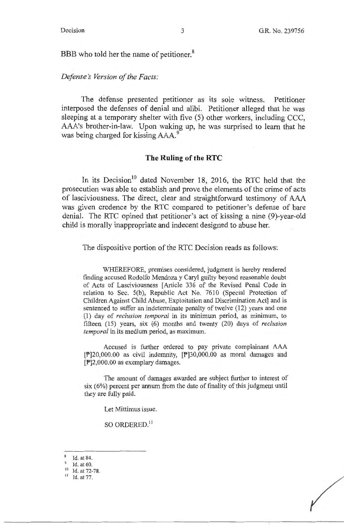BBB who told her the name of petitioner.<sup>8</sup>

### *Defense's Version of the Facts:*

The defense presented petitioner as its sole witness. Petitioner interposed the defenses of denial and alibi. Petitioner alleged that he was sleeping at a temporary shelter with five (5) other workers, including CCC, AAA's brother-in-law. Upon waking up, he was surprised to learn that he was being charged for kissing AAA.<sup>9</sup>

#### **The Ruling of the RTC**

In its Decision<sup>10</sup> dated November 18, 2016, the RTC held that the prosecution was able to establish and prove the elements of the crime of acts of lasciviousness. The direct, clear and straightforward testimony of AAA was given credence by the RTC compared to petitioner's defense of bare denial. The RTC opined that petitioner's act of kissing a nine (9)-year-old child is morally inappropriate and indecent designed to abuse her.

The dispositive portion of the RTC Decision reads as follows:

WHEREFORE, premises considered, judgment is hereby rendered finding accused Rodolfo Mendoza y Caryl guilty beyond reasonable doubt of Acts of Lasciviousness [Article 336 of the Revised Penal Code in relation to Sec. 5(b), Republic Act No. 7610 (Special Protection of Children Against Child Abuse, Exploitation and Discrimination Act] and is sentenced to suffer an indeterminate penalty of twelve (12) years and one (1) day of *reclusion temporal* in its minimum period, as minimum, to fifteen (15) years, six (6) months and twenty (20) days of *reclusion temporal* in its medium period, as maximum.

Accused is further ordered to pay private complainant AAA [P]20,000.00 as civil indemnity, [P]30,000.00 as moral damages and [P]2,000.00 as exemplary damages.

The amount of damages awarded are subject further to interest of six (6%) percent per annum from the date of finality of this judgment until they are fully paid.

Let Mittimus issue.

so ORDERED. <sup>11</sup>

 $\frac{8}{9}$  Id. at 84.<br>
<sup>9</sup>Id. at 60.<br>
<sup>10</sup>Id. at 72-78.<br>
<sup>11</sup>Id. at 77.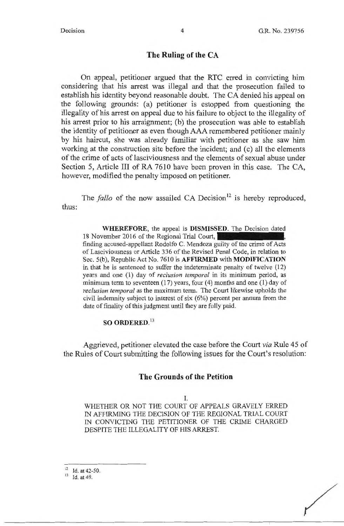### **The Ruling of the CA**

On appeal, petitioner argued that the RTC erred in convicting him considering that his arrest was illegal and that the prosecution failed to establish his identity beyond reasonable doubt. The CA denied his appeal on the following grounds: (a) petitioner is estopped from questioning the illegality of his arrest on appeal due to his failure to object to the illegality of his arrest prior to his arraignment; (b) the prosecution was able to establish the identity of petitioner as even though AAA remembered petitioner mainly by his haircut, she was already familiar with petitioner as she saw him working at the construction site before the incident; and (c) all the elements of the crime of acts of lasciviousness and the elements of sexual abuse under Section 5, Article III of RA 7610 have been proven in this case. The CA, however, modified the penalty imposed on petitioner.

The *fallo* of the now assailed CA Decision<sup>12</sup> is hereby reproduced, thus:

**WHEREFORE,** the appeal is **DISMISSED.** The Decision dated 18 November 2016 of the Regional Trial Court, finding accused-appellant Rodolfo C. Mendoza guilty of the crime of Acts of Lasciviousness or Article 336 of the Revised Penal Code, in relation to Sec. S(b), Republic Act No. 7610 is **AFFIRMED** with **MODIFICATION**  in that he is sentenced to suffer the indeterminate penalty of twelve (12) years and one **(1)** day of *reclusion temporal* in its minimum period, as minimum term to seventeen  $(17)$  years, four  $(4)$  months and one  $(1)$  day of *reclusion temporal* as the maximum term. The Court likewise upholds the civil indemnity subject to interest of six (6%) percent per annum from the date of finality of this judgment until they are fully paid.

#### **SO ORDERED. 13**

Aggrieved, petitioner elevated the case before the Court *via* Rule 45 of the Rules of Court submitting the following issues for the Court's resolution:

#### **The Grounds of the Petition**

#### I.

WHETHER OR NOT THE COURT OF APPEALS GRAVELY ERRED IN AFFIRMING THE DECISION OF THE REGIONAL TRIAL COURT IN CONVICTING THE PETITIONER OF THE CRIME CHARGED DESPITE THE ILLEGALITY OF HIS ARREST.

12 Id. at 42-50.

 $13$  Id. at 49.

 $\bigg($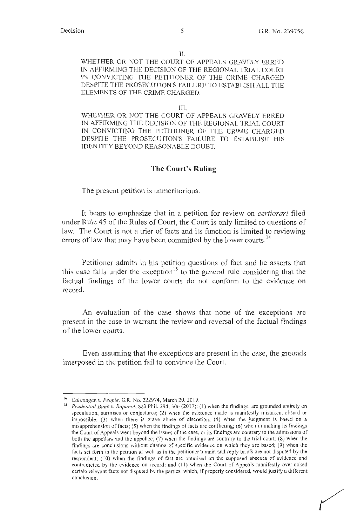II.

WHETHER OR NOT THE COURT OF APPEALS GRAVELY ERRED IN AFFIRMING THE DECISION OF THE REGIONAL TRIAL COURT IN CONVICTING THE PETITIONER OF THE CRIME CHARGED DESPITE THE PROSECUTION'S FAILURE TO ESTABLISH ALL THE ELEMENTS OF THE CRIME CHARGED.

#### III.

WHETHER OR NOT THE COURT OF APPEALS GRAVELY ERRED IN AFFIRMING THE DECISION OF THE REGIONAL TRIAL COURT IN CONVICTING THE PETITIONER OF THE CRIME CHARGED DESPITE THE PROSECUTION'S FAILURE TO ESTABLISH HIS IDENTITY BEYOND REASONABLE DOUBT.

#### **The Court's Ruling**

The present petition is unmeritorious.

It bears to emphasize that in a petition for review on *certiorari* filed under Rule 45 of the Rules of Court, the Court is only limited to questions of law. The Court is not a trier of facts and its function is limited to reviewing errors of law that may have been committed by the lower courts.<sup>14</sup>

Petitioner admits in his petition questions of fact and he asserts that this case falls under the exception<sup>15</sup> to the general rule considering that the factual findings of the lower courts do not conform to the evidence on record.

An evaluation of the case shows that none of the exceptions are present in the case to warrant the review and reversal of the factual findings of the lower courts.

Even assuming that the exceptions are present in the case, the grounds interposed in the petition fail to convince the Court.

<sup>14</sup>*Calaoagan v. People,* G.R. No. 222974, March 20, 2019.

<sup>&</sup>lt;sup>15</sup> Prudential Bank v. Rapanot, 803 Phil. 294, 306 (2017): (1) when the findings, are grounded entirely on speculation, surmises or conjectures; (2) when the inference made is manifestly mistaken, absurd or impossible; (3) when there is grave abuse of discretion; (4) when the judgment is based on a misapprehension of facts; (5) when the findings of facts are conflicting; (6) when in making its findings the Court of Appeals went beyond the issues of the case, or its findings are contrary to the admissions of both the appellant and the appellee; (7) when the findings are contrary to the trial court; (8) when the findings are conclusions without citation of specific evidence on which they are based; (9) when the facts set forth in the petition as well as in the petitioner's main and reply briefs are not disputed by the respondent; ( 10) when the findings of fact are premised on the supposed absence of evidence and contradicted by the evidence on record; and ( 11 ) when the Court of Appeals manifestly overlooked certain relevant facts not disputed by the parties, which, if properly considered, would justify a different conclusion.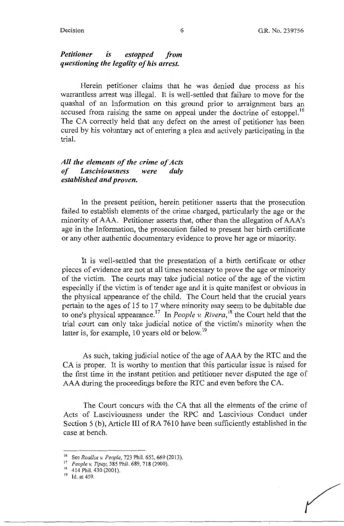## *Petitioner is estopped from questioning the legality of his arrest.*

Herein petitioner claims that he was denied due process as his warrantless arrest was illegal. It is well-settled that failure to move for the quashal of an Information on this ground prior to arraignment bars an accused from raising the same on appeal under the doctrine of estoppel.<sup>16</sup> The CA correctly held that any defect on the arrest of petitioner has been cured by his voluntary act of entering a plea and actively participating in the trial.

# *All the elements of the crime of Acts of Lasciviousness were duly established and proven.*

In the present petition, herein petitioner asserts that the prosecution failed to establish elements of the crime charged, particularly the age or the minority of AAA. Petitioner asserts that, other than the allegation of AAA's age in the Information, the prosecution failed to present her birth certificate or any other authentic documentary evidence to prove her age or minority.

It is well-settled that the presentation of a birth certificate or other pieces of evidence are not at all times necessary to prove the age or minority of the victim. The courts may take judicial notice of the age of the victim especially if the victim is of tender age and it is quite manifest or obvious in the physical appearance of the child. The Court held that the crucial years pertain to the ages of 15 to 17 where minority may seem to be dubitable due to one's physical appearance.<sup>17</sup> In *People v. Rivera*,<sup>18</sup> the Court held that the trial court can only take judicial notice of the victim's minority when the latter is, for example, 10 years old or below.<sup>19</sup>

As such, taking judicial notice of the age of AAA by the RTC and the CA is proper. It is worthy to mention that this particular issue is raised for the first time in the instant petition and petitioner never disputed the age of AAA during the proceedings before the RTC and even before the CA.

The Court concurs with the CA that all the elements of the crime of Acts of Lasciviousness under the RPC and Lascivious Conduct under Section 5 (b), Article III of RA 7610 have been sufficiently established in the case at bench.

<sup>&</sup>lt;sup>16</sup> See *Roallos v. People*, 723 Phil. 655, 669 (2013).<br><sup>17</sup> *People v. Tipay*, 385 Phil. 689, 718 (2000).<br><sup>18</sup> 414 Phil. 430 (2001).

<sup>&</sup>lt;sup>19</sup> Id. at 459.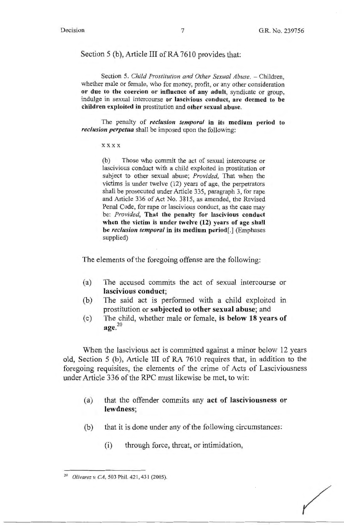### Section 5 (b), Article III of RA 7610 provides that:

Section 5. *Child Prostitution and Other Sexual Abuse.* - Children, whether male or female, who for money, profit, or any other consideration **or due to the coercion or influence of any adult,** syndicate or group, indulge in sexual intercourse **or lascivious conduct, are deemed to be children exploited in** prostitution and **other sexual abuse.** 

The penalty of *reclusion temporal* **in its medium period to**  *reclusion perpetua* shall be imposed upon the following:

**xxxx** 

(b) Those who commit the act of sexual intercourse or lascivious conduct with a child exploited in prostitution or subject to other sexual abuse; *Provided,* That when the victims is under twelve (12) years of age, the perpetrators shall be prosecuted under Article 335, paragraph 3, for rape and Article 336 of Act No. 3815, as amended, the Revised Penal Code, for rape or lascivious conduct, as the case may be: *Provided,* **That the penalty for lascivious conduct when the victim is under twelve (12) years of age shall be** *reclusion temporal* **in its medium period[.)** (Emphases supplied)

The elements of the foregoing offense are the following:

- (a) The accused commits the act of sexual intercourse or **lascivious conduct;**
- (b) The said act is performed with a child exploited in prostitution or **subjected to other sexual abuse;** and
- ( c) The child, whether male or female, **is below 18 years of**   $\mathbf{age}^{20}$

When the lascivious act is committed against a minor below 12 years old, Section 5 (b), Article III of RA 7610 requires that, in addition to the foregoing requisites, the elements of the crime of Acts of Lasciviousness under Article 336 of the RPC must likewise be met, to wit:

- (a) that the offender commits any **act of lasciviousness or lewdness;**
- (b) that it is done under any of the following circumstances:
	- (i) through force, threat, or intimidation,

<sup>20</sup>*Olivarez v. CA,* 503 Phil. 42 I, 431 (2005).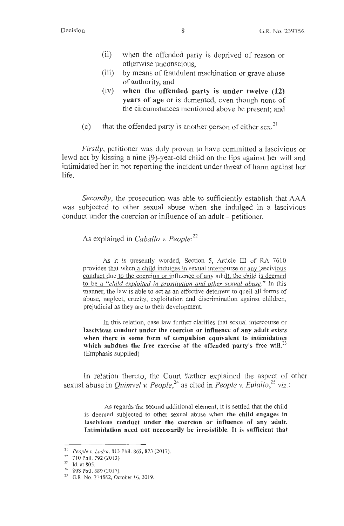- (ii) when the offended party is deprived of reason or otherwise unconscious,
- (iii) by means of fraudulent machination or grave abuse of authority, and
- (iv) **when the offended party is under twelve (12) years of age** or is demented, even though none of the circumstances mentioned above be present; and
- (c) that the offended party is another person of either sex.<sup>21</sup>

*Firstly,* petitioner was duly proven to have committed a lascivious or lewd act by kissing a nine (9)-year-old child on the lips against her will and intimidated her in not reporting the incident under threat of harm against her life.

*Secondly,* the prosecution was able to sufficiently establish that AAA was subjected to other sexual abuse when she indulged in a lascivious conduct under the coercion or influence of an adult – petitioner.

As explained in *Caballo v. People: 22* 

As it is presently worded, Section 5, Article III of RA 7610 provides that when a child indulges in sexual intercourse or any lascivious conduct due to the coercion or influence of any adult, the child is deemed to be a *"child exploited in prostitution and other sexual abuse."* In this manner, the law is able to act as an effective deterrent to quell all forms of abuse, neglect, cruelty, exploitation and discrimination against children, prejudicial as they are to their development.

In this relation, case law further clarifies that sexual intercourse or **lascivious conduct under the coercion or influence of any adult exists when there is some form of compulsion equivalent to intimidation which subdues the free exercise of the offended party's free will.<sup>23</sup>** (Emphasis supplied)

In relation thereto, the Court further explained the aspect of other sexual abuse in *Quimvel v. People*,<sup>24</sup> as cited in *People v. Eulalio*,<sup>25</sup> viz.:

As regards the second additional element, it is settled that the child is deemed subjected to other sexual abuse when **the child engages in lascivious conduct under the coercion or influence of any adult. Intimidation need not necessarily be irresistible.** It **is sufficient that** 

<sup>&</sup>lt;sup>21</sup> People v. Ladra, 813 Phil. 862, 873 (2017).

 $^{22}$  710 Phil. 792 (2013).<br><sup>23</sup> Id. at 805.

<sup>&</sup>lt;sup>24</sup> 808 Phil. 889 (2017).<br><sup>25</sup> G.R. No. 214882, October 16, 2019.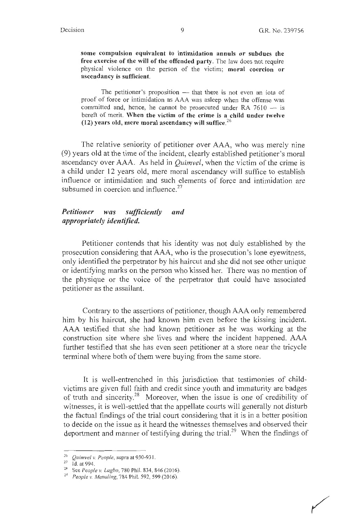**some compulsion equivalent to intimidation annuls or subdues the free exercise of the will of the offended party.** The law does not require physical violence on the person of the victim; **moral coercion or ascendancy is sufficient.** 

The petitioner's proposition  $-$  that there is not even an iota of proof of force or intimidation as AAA was asleep when the offense was committed and, hence, he cannot be prosecuted under RA  $7610 -$  is bereft of merit. **When the victim of the crime is a child under twelve (12) years old, mere moral ascendancy will suffice.<sup>26</sup>**

The relative seniority of petitioner over AAA, who was merely nine (9) years old at the time of the incident, clearly established petitioner's moral ascendancy over AAA. As held in *Quimvel,* when the victim of the crime is a child under 12 years old, mere moral ascendancy will suffice to establish influence or intimidation and such elements of force and intimidation are subsumed in coercion and influence.<sup>27</sup>

### *Petitioner was sufficiently and appropriately identified.*

Petitioner contends that his identity was not duly established by the prosecution considering that AAA, who is the prosecution's lone eyewitness, only identified the perpetrator by his haircut and she did not see other unique or identifying marks on the person who kissed her. There was no mention of the physique or the voice of the perpetrator that could have associated petitioner as the assailant.

Contrary to the assertions of petitioner, though AAA only remembered him by his haircut, she had known him even before the kissing incident. AAA testified that she had known petitioner as he was working at the construction site where she lives and where the incident happened. AAA further testified that she has even seen petitioner at a store near the tricycle terminal where both of them were buying from the same store.

It is well-entrenched in this jurisdiction that testimonies of childvictims are given full faith and credit since youth and immaturity are badges of truth and sincerity.<sup>28</sup> Moreover, when the issue is one of credibility of witnesses, it is well-settled that the appellate courts will generally not disturb the factual findings of the trial court considering that it is in a better position to decide on the issue as it heard the witnesses themselves and observed their deportment and manner of testifying during the trial.<sup>29</sup> When the findings of

<sup>26</sup>*Quimvel v. People,* supra at 930-93 I. 27 Id. at 994. 28 See *People v. Lagbo,* 780 Phil. 834, 846(20 16). 29 *People v. Mena/ing,* 784 Phil. 592, 599 (20 16).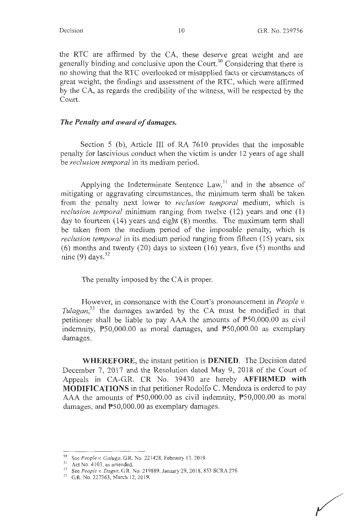the RTC are affirmed by the CA, these deserve great weight and are generally binding and conclusive upon the Court.<sup>30</sup> Considering that there is no showing that the RTC overlooked or misapplied facts or circumstances of great weight, the findings and assessment of the RTC, which were affirmed by the CA, as regards the credibility of the witness, will be respected by the Court.

# *The Penalty and award of damages.*

Section 5 (b), Article III of RA  $7610$  provides that the imposable penalty for lascivious conduct when the victim is under 12 years of age shall be *reclusion temporal* in its medium period.

Applying the Indeterminate Sentence  $Law<sub>31</sub><sup>31</sup>$  and in the absence of mitigating or aggravating circumstances, the minimum term shall be taken from the penalty next lower to *reclusion temporal* medium, which is *reclusion temporal* minimum ranging from twelve (12) years and one (1) day to fourteen (14) years and eight (8) months. The maximum term shall be taken from the medium period of the imposable penalty, which is *reclusion temporal* in its medium period ranging from fifteen (15) years, six (6) months and twenty (20) days to sixteen (16) years, five (5) months and nine (9) days. $32$ 

The penalty imposed by the CA is proper.

However, in consonance with the Court's pronouncement in *People v. Tulagan, <sup>33</sup>*the damages awarded by the CA must be modified in that petitioner shall be liable to pay AAA the amounts of P50,000.00 as civil indemnity, P50,000.00 as moral damages, and P50,000.00 as exemplary damages.

**WHEREFORE,** the instant petition is **DENIED.** The Decision dated December 7, 2017 and the Resolution dated May 9, 2018 of the Court of Appeals in CA-G.R. CR No. 39430 are hereby **AFFIRMED with MODIFICATIONS** in that petitioner Rodolfo C. Mendoza is ordered to pay AAA the amounts of P50,000.00 as civil indemnity, P50,000.00 as moral damages, and P50,000.00 as exemplary damages.

<sup>&</sup>lt;sup>30</sup> See *People v. Galuga*, G.R. No. 221428, February 13, 2019.<br>
<sup>31</sup> Act No. 4103, as amended.<br>
<sup>32</sup> See *People v. Dagsa*, G.R. No. 219889. January 29, 2018, 853 SCRA 276.<br>
<sup>33</sup> G.R. No. 227363, March 12, 2019.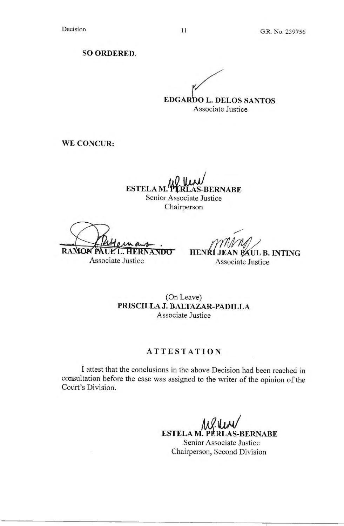**SO ORDERED.** 

/ **EDGARDO L. DELOS SANTOS** Associate Justice

**WE CONCUR:** 

**,Jo.JJ».J ESTELA M."ttRLAS-BERNABE**  Senior Associate Justice Chairperson

Ruteman. RAMON PAULL. HERNANDO Associate Justice

/

**HENRI JEAN PAUL B. INTING** Associate Justice

(On Leave) **PRISCILLA J. BALTAZAR-PADILLA**  Associate Justice

# **ATTESTATION**

I attest that the conclusions in the above Decision had been reached in consultation before the case was assigned to the writer of the opinion of the Court's Division.

> **ESTELA M. PERLAS-BERNABE** Senior Associate Justice Chairperson, Second Division